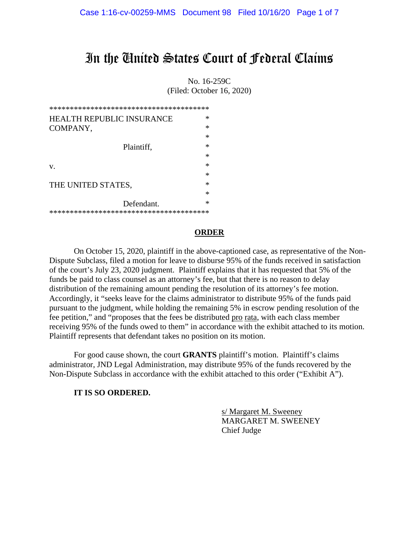## In the United States Court of Federal Claims

No. 16-259C (Filed: October 16, 2020)

| <b>HEALTH REPUBLIC INSURANCE</b> | ∗      |  |
|----------------------------------|--------|--|
| COMPANY,                         | $\ast$ |  |
|                                  | $\ast$ |  |
| Plaintiff,                       | $\ast$ |  |
|                                  | $\ast$ |  |
| V.                               | $\ast$ |  |
|                                  | ∗      |  |
| THE UNITED STATES,               | $\ast$ |  |
|                                  | $\ast$ |  |
| Defendant.                       | ∗      |  |
|                                  |        |  |

#### **ORDER**

On October 15, 2020, plaintiff in the above-captioned case, as representative of the Non-Dispute Subclass, filed a motion for leave to disburse 95% of the funds received in satisfaction of the court's July 23, 2020 judgment. Plaintiff explains that it has requested that 5% of the funds be paid to class counsel as an attorney's fee, but that there is no reason to delay distribution of the remaining amount pending the resolution of its attorney's fee motion. Accordingly, it "seeks leave for the claims administrator to distribute 95% of the funds paid pursuant to the judgment, while holding the remaining 5% in escrow pending resolution of the fee petition," and "proposes that the fees be distributed pro rata, with each class member receiving 95% of the funds owed to them" in accordance with the exhibit attached to its motion. Plaintiff represents that defendant takes no position on its motion.

For good cause shown, the court **GRANTS** plaintiff's motion. Plaintiff's claims administrator, JND Legal Administration, may distribute 95% of the funds recovered by the Non-Dispute Subclass in accordance with the exhibit attached to this order ("Exhibit A").

#### **IT IS SO ORDERED.**

 s/ Margaret M. Sweeney MARGARET M. SWEENEY Chief Judge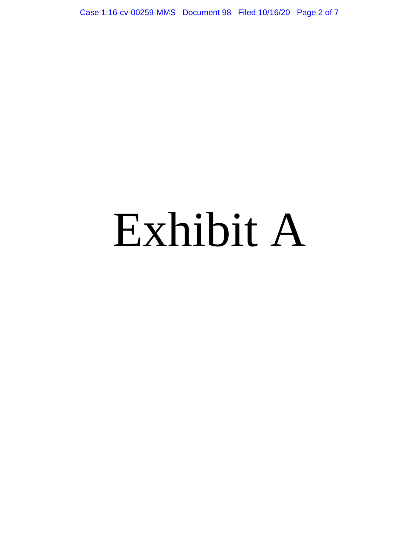Case 1:16-cv-00259-MMS Document 98 Filed 10/16/20 Page 2 of 7

# Exhibit A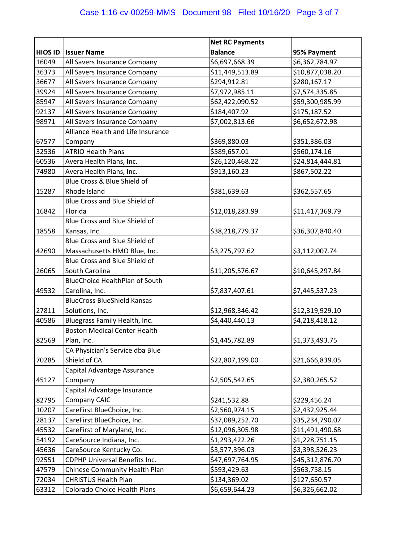|                |                                       | <b>Net RC Payments</b> |                 |
|----------------|---------------------------------------|------------------------|-----------------|
| <b>HIOS ID</b> | <b>Issuer Name</b>                    | <b>Balance</b>         | 95% Payment     |
| 16049          | All Savers Insurance Company          | \$6,697,668.39         | \$6,362,784.97  |
| 36373          | All Savers Insurance Company          | \$11,449,513.89        | \$10,877,038.20 |
| 36677          | All Savers Insurance Company          | \$294,912.81           | \$280,167.17    |
| 39924          | All Savers Insurance Company          | \$7,972,985.11         | \$7,574,335.85  |
| 85947          | All Savers Insurance Company          | \$62,422,090.52        | \$59,300,985.99 |
| 92137          | All Savers Insurance Company          | \$184,407.92           | \$175,187.52    |
| 98971          | All Savers Insurance Company          | \$7,002,813.66         | \$6,652,672.98  |
|                | Alliance Health and Life Insurance    |                        |                 |
| 67577          | Company                               | \$369,880.03           | \$351,386.03    |
| 32536          | <b>ATRIO Health Plans</b>             | \$589,657.01           | \$560,174.16    |
| 60536          | Avera Health Plans, Inc.              | \$26,120,468.22        | \$24,814,444.81 |
| 74980          | Avera Health Plans, Inc.              | \$913,160.23           | \$867,502.22    |
|                | Blue Cross & Blue Shield of           |                        |                 |
| 15287          | Rhode Island                          | \$381,639.63           | \$362,557.65    |
|                | Blue Cross and Blue Shield of         |                        |                 |
| 16842          | Florida                               | \$12,018,283.99        | \$11,417,369.79 |
|                | Blue Cross and Blue Shield of         |                        |                 |
| 18558          | Kansas, Inc.                          | \$38,218,779.37        | \$36,307,840.40 |
|                | Blue Cross and Blue Shield of         |                        |                 |
| 42690          | Massachusetts HMO Blue, Inc.          | \$3,275,797.62         | \$3,112,007.74  |
|                | Blue Cross and Blue Shield of         |                        |                 |
| 26065          | South Carolina                        | \$11,205,576.67        | \$10,645,297.84 |
|                | <b>BlueChoice HealthPlan of South</b> |                        |                 |
| 49532          | Carolina, Inc.                        | \$7,837,407.61         | \$7,445,537.23  |
|                | <b>BlueCross BlueShield Kansas</b>    |                        |                 |
| 27811          | Solutions, Inc.                       | \$12,968,346.42        | \$12,319,929.10 |
| 40586          | Bluegrass Family Health, Inc.         | \$4,440,440.13         | \$4,218,418.12  |
|                | <b>Boston Medical Center Health</b>   |                        |                 |
| 82569          | Plan, Inc.                            | \$1,445,782.89         | \$1,373,493.75  |
|                | CA Physician's Service dba Blue       |                        |                 |
| 70285          | Shield of CA                          | \$22,807,199.00        | \$21,666,839.05 |
|                | Capital Advantage Assurance           |                        |                 |
| 45127          | Company                               | \$2,505,542.65         | \$2,380,265.52  |
|                | Capital Advantage Insurance           |                        |                 |
| 82795          | Company CAIC                          | \$241,532.88           | \$229,456.24    |
| 10207          | CareFirst BlueChoice, Inc.            | \$2,560,974.15         | \$2,432,925.44  |
| 28137          | CareFirst BlueChoice, Inc.            | \$37,089,252.70        | \$35,234,790.07 |
| 45532          | CareFirst of Maryland, Inc.           | \$12,096,305.98        | \$11,491,490.68 |
| 54192          | CareSource Indiana, Inc.              | \$1,293,422.26         | \$1,228,751.15  |
| 45636          | CareSource Kentucky Co.               | \$3,577,396.03         | \$3,398,526.23  |
| 92551          | <b>CDPHP Universal Benefits Inc.</b>  | \$47,697,764.95        | \$45,312,876.70 |
| 47579          | Chinese Community Health Plan         | \$593,429.63           | \$563,758.15    |
| 72034          | <b>CHRISTUS Health Plan</b>           | \$134,369.02           | \$127,650.57    |
| 63312          | Colorado Choice Health Plans          | \$6,659,644.23         | \$6,326,662.02  |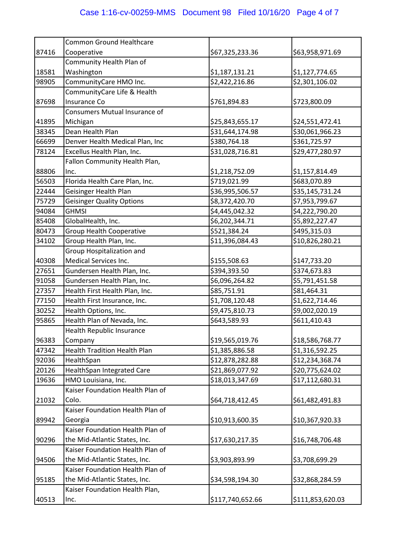|       | <b>Common Ground Healthcare</b>     |                  |                  |
|-------|-------------------------------------|------------------|------------------|
| 87416 | Cooperative                         | \$67,325,233.36  | \$63,958,971.69  |
|       | Community Health Plan of            |                  |                  |
| 18581 | Washington                          | \$1,187,131.21   | \$1,127,774.65   |
| 98905 | CommunityCare HMO Inc.              | \$2,422,216.86   | \$2,301,106.02   |
|       | CommunityCare Life & Health         |                  |                  |
| 87698 | Insurance Co                        | \$761,894.83     | \$723,800.09     |
|       | Consumers Mutual Insurance of       |                  |                  |
| 41895 | Michigan                            | \$25,843,655.17  | \$24,551,472.41  |
| 38345 | Dean Health Plan                    | \$31,644,174.98  | \$30,061,966.23  |
| 66699 | Denver Health Medical Plan, Inc     | \$380,764.18     | \$361,725.97     |
| 78124 | Excellus Health Plan, Inc.          | \$31,028,716.81  | \$29,477,280.97  |
|       | Fallon Community Health Plan,       |                  |                  |
| 88806 | Inc.                                | \$1,218,752.09   | \$1,157,814.49   |
| 56503 | Florida Health Care Plan, Inc.      | \$719,021.99     | \$683,070.89     |
| 22444 | Geisinger Health Plan               | \$36,995,506.57  | \$35,145,731.24  |
| 75729 | <b>Geisinger Quality Options</b>    | \$8,372,420.70   | \$7,953,799.67   |
| 94084 | <b>GHMSI</b>                        | \$4,445,042.32   | \$4,222,790.20   |
| 85408 | GlobalHealth, Inc.                  | \$6,202,344.71   | \$5,892,227.47   |
| 80473 | <b>Group Health Cooperative</b>     | \$521,384.24     | \$495,315.03     |
| 34102 | Group Health Plan, Inc.             | \$11,396,084.43  | \$10,826,280.21  |
|       | Group Hospitalization and           |                  |                  |
| 40308 | Medical Services Inc.               | \$155,508.63     | \$147,733.20     |
| 27651 | Gundersen Health Plan, Inc.         | \$394,393.50     | \$374,673.83     |
| 91058 | Gundersen Health Plan, Inc.         | \$6,096,264.82   | \$5,791,451.58   |
| 27357 | Health First Health Plan, Inc.      | \$85,751.91      | \$81,464.31      |
| 77150 | Health First Insurance, Inc.        | \$1,708,120.48   | \$1,622,714.46   |
| 30252 | Health Options, Inc.                | \$9,475,810.73   | \$9,002,020.19   |
| 95865 | Health Plan of Nevada, Inc.         | \$643,589.93     | \$611,410.43     |
|       | Health Republic Insurance           |                  |                  |
| 96383 | Company                             | \$19,565,019.76  | \$18,586,768.77  |
| 47342 | <b>Health Tradition Health Plan</b> | \$1,385,886.58   | \$1,316,592.25   |
| 92036 | HealthSpan                          | \$12,878,282.88  | \$12,234,368.74  |
| 20126 | HealthSpan Integrated Care          | \$21,869,077.92  | \$20,775,624.02  |
| 19636 | HMO Louisiana, Inc.                 | \$18,013,347.69  | \$17,112,680.31  |
|       | Kaiser Foundation Health Plan of    |                  |                  |
| 21032 | Colo.                               | \$64,718,412.45  | \$61,482,491.83  |
|       | Kaiser Foundation Health Plan of    |                  |                  |
| 89942 | Georgia                             | \$10,913,600.35  | \$10,367,920.33  |
|       | Kaiser Foundation Health Plan of    |                  |                  |
| 90296 | the Mid-Atlantic States, Inc.       | \$17,630,217.35  | \$16,748,706.48  |
|       | Kaiser Foundation Health Plan of    |                  |                  |
| 94506 | the Mid-Atlantic States, Inc.       | \$3,903,893.99   | \$3,708,699.29   |
|       | Kaiser Foundation Health Plan of    |                  |                  |
| 95185 | the Mid-Atlantic States, Inc.       | \$34,598,194.30  | \$32,868,284.59  |
|       | Kaiser Foundation Health Plan,      |                  |                  |
| 40513 | Inc.                                | \$117,740,652.66 | \$111,853,620.03 |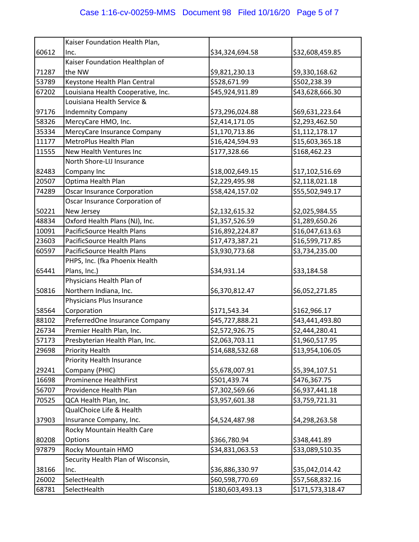|       | Kaiser Foundation Health Plan,     |                  |                  |
|-------|------------------------------------|------------------|------------------|
| 60612 | Inc.                               | \$34,324,694.58  | \$32,608,459.85  |
|       | Kaiser Foundation Healthplan of    |                  |                  |
| 71287 | the NW                             | \$9,821,230.13   | \$9,330,168.62   |
| 53789 | Keystone Health Plan Central       | \$528,671.99     | \$502,238.39     |
| 67202 | Louisiana Health Cooperative, Inc. | \$45,924,911.89  | \$43,628,666.30  |
|       | Louisiana Health Service &         |                  |                  |
| 97176 | <b>Indemnity Company</b>           | \$73,296,024.88  | \$69,631,223.64  |
| 58326 | MercyCare HMO, Inc.                | \$2,414,171.05   | \$2,293,462.50   |
| 35334 | MercyCare Insurance Company        | \$1,170,713.86   | \$1,112,178.17   |
| 11177 | MetroPlus Health Plan              | \$16,424,594.93  | \$15,603,365.18  |
| 11555 | New Health Ventures Inc            | \$177,328.66     | \$168,462.23     |
|       | North Shore-LIJ Insurance          |                  |                  |
| 82483 | Company Inc                        | \$18,002,649.15  | \$17,102,516.69  |
| 20507 | Optima Health Plan                 | \$2,229,495.98   | \$2,118,021.18   |
| 74289 | <b>Oscar Insurance Corporation</b> | \$58,424,157.02  | \$55,502,949.17  |
|       | Oscar Insurance Corporation of     |                  |                  |
| 50221 | New Jersey                         | \$2,132,615.32   | \$2,025,984.55   |
| 48834 | Oxford Health Plans (NJ), Inc.     | \$1,357,526.59   | \$1,289,650.26   |
| 10091 | PacificSource Health Plans         | \$16,892,224.87  | \$16,047,613.63  |
| 23603 | PacificSource Health Plans         | \$17,473,387.21  | \$16,599,717.85  |
| 60597 | PacificSource Health Plans         | \$3,930,773.68   | \$3,734,235.00   |
|       | PHPS, Inc. (fka Phoenix Health     |                  |                  |
| 65441 | Plans, Inc.)                       | \$34,931.14      | \$33,184.58      |
|       | Physicians Health Plan of          |                  |                  |
| 50816 | Northern Indiana, Inc.             | \$6,370,812.47   | \$6,052,271.85   |
|       | Physicians Plus Insurance          |                  |                  |
| 58564 | Corporation                        | \$171,543.34     | \$162,966.17     |
| 88102 | PreferredOne Insurance Company     | \$45,727,888.21  | \$43,441,493.80  |
| 26734 | Premier Health Plan, Inc.          | \$2,572,926.75   | \$2,444,280.41   |
| 57173 | Presbyterian Health Plan, Inc.     | \$2,063,703.11   | \$1,960,517.95   |
| 29698 | <b>Priority Health</b>             | \$14,688,532.68  | \$13,954,106.05  |
|       | <b>Priority Health Insurance</b>   |                  |                  |
| 29241 | Company (PHIC)                     | \$5,678,007.91   | \$5,394,107.51   |
| 16698 | <b>Prominence HealthFirst</b>      | \$501,439.74     | \$476,367.75     |
| 56707 | Providence Health Plan             | \$7,302,569.66   | \$6,937,441.18   |
| 70525 | QCA Health Plan, Inc.              | \$3,957,601.38   | \$3,759,721.31   |
|       | QualChoice Life & Health           |                  |                  |
| 37903 | Insurance Company, Inc.            | \$4,524,487.98   | \$4,298,263.58   |
|       | Rocky Mountain Health Care         |                  |                  |
| 80208 | Options                            | \$366,780.94     | \$348,441.89     |
| 97879 | Rocky Mountain HMO                 | \$34,831,063.53  | \$33,089,510.35  |
|       | Security Health Plan of Wisconsin, |                  |                  |
| 38166 | Inc.                               | \$36,886,330.97  | \$35,042,014.42  |
| 26002 | SelectHealth                       | \$60,598,770.69  | \$57,568,832.16  |
| 68781 | SelectHealth                       | \$180,603,493.13 | \$171,573,318.47 |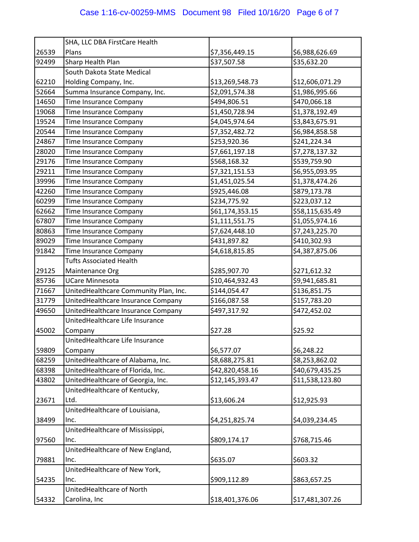|       | SHA, LLC DBA FirstCare Health         |                 |                 |
|-------|---------------------------------------|-----------------|-----------------|
| 26539 | Plans                                 | \$7,356,449.15  | \$6,988,626.69  |
| 92499 | Sharp Health Plan                     | \$37,507.58     | \$35,632.20     |
|       | South Dakota State Medical            |                 |                 |
| 62210 | Holding Company, Inc.                 | \$13,269,548.73 | \$12,606,071.29 |
| 52664 | Summa Insurance Company, Inc.         | \$2,091,574.38  | \$1,986,995.66  |
| 14650 | Time Insurance Company                | \$494,806.51    | \$470,066.18    |
| 19068 | Time Insurance Company                | \$1,450,728.94  | \$1,378,192.49  |
| 19524 | Time Insurance Company                | \$4,045,974.64  | \$3,843,675.91  |
| 20544 | Time Insurance Company                | \$7,352,482.72  | \$6,984,858.58  |
| 24867 | Time Insurance Company                | \$253,920.36    | \$241,224.34    |
| 28020 | Time Insurance Company                | \$7,661,197.18  | \$7,278,137.32  |
| 29176 | Time Insurance Company                | \$568,168.32    | \$539,759.90    |
| 29211 | Time Insurance Company                | \$7,321,151.53  | \$6,955,093.95  |
| 39996 | Time Insurance Company                | \$1,451,025.54  | \$1,378,474.26  |
| 42260 | Time Insurance Company                | \$925,446.08    | \$879,173.78    |
| 60299 | Time Insurance Company                | \$234,775.92    | \$223,037.12    |
| 62662 | Time Insurance Company                | \$61,174,353.15 | \$58,115,635.49 |
| 67807 | Time Insurance Company                | \$1,111,551.75  | \$1,055,974.16  |
| 80863 | Time Insurance Company                | \$7,624,448.10  | \$7,243,225.70  |
| 89029 | Time Insurance Company                | \$431,897.82    | \$410,302.93    |
| 91842 | Time Insurance Company                | \$4,618,815.85  | \$4,387,875.06  |
|       | <b>Tufts Associated Health</b>        |                 |                 |
| 29125 | Maintenance Org                       | \$285,907.70    | \$271,612.32    |
| 85736 | <b>UCare Minnesota</b>                | \$10,464,932.43 | \$9,941,685.81  |
| 71667 | UnitedHealthcare Community Plan, Inc. | \$144,054.47    | \$136,851.75    |
| 31779 | UnitedHealthcare Insurance Company    | \$166,087.58    | \$157,783.20    |
| 49650 | UnitedHealthcare Insurance Company    | \$497,317.92    | \$472,452.02    |
|       | UnitedHealthcare Life Insurance       |                 |                 |
| 45002 | Company                               | \$27.28         | \$25.92         |
|       | UnitedHealthcare Life Insurance       |                 |                 |
| 59809 | Company                               | \$6,577.07      | \$6,248.22      |
| 68259 | UnitedHealthcare of Alabama, Inc.     | \$8,688,275.81  | \$8,253,862.02  |
| 68398 | UnitedHealthcare of Florida, Inc.     | \$42,820,458.16 | \$40,679,435.25 |
| 43802 | UnitedHealthcare of Georgia, Inc.     | \$12,145,393.47 | \$11,538,123.80 |
|       | UnitedHealthcare of Kentucky,         |                 |                 |
| 23671 | Ltd.                                  | \$13,606.24     | \$12,925.93     |
|       | UnitedHealthcare of Louisiana,        |                 |                 |
| 38499 | Inc.                                  | \$4,251,825.74  | \$4,039,234.45  |
|       | UnitedHealthcare of Mississippi,      |                 |                 |
| 97560 | Inc.                                  | \$809,174.17    | \$768,715.46    |
|       | UnitedHealthcare of New England,      |                 |                 |
| 79881 | Inc.                                  | \$635.07        | \$603.32        |
|       | UnitedHealthcare of New York,         |                 |                 |
| 54235 | Inc.                                  | \$909,112.89    | \$863,657.25    |
|       | UnitedHealthcare of North             |                 |                 |
| 54332 | Carolina, Inc                         | \$18,401,376.06 | \$17,481,307.26 |